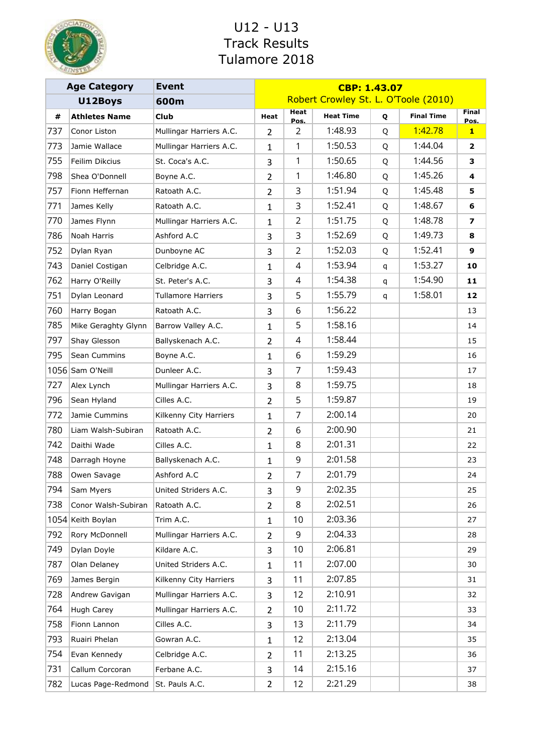

|     | <b>Age Category</b>  | <b>Event</b>              | CBP: 1.43.07   |                |                                      |   |                   |                         |
|-----|----------------------|---------------------------|----------------|----------------|--------------------------------------|---|-------------------|-------------------------|
|     | U12Boys              | 600m                      |                |                | Robert Crowley St. L. O'Toole (2010) |   |                   |                         |
| #   | <b>Athletes Name</b> | <b>Club</b>               | Heat           | Heat<br>Pos.   | <b>Heat Time</b>                     | Q | <b>Final Time</b> | <b>Final</b><br>Pos.    |
| 737 | Conor Liston         | Mullingar Harriers A.C.   | 2              | $\overline{2}$ | 1:48.93                              | Q | 1:42.78           | $\mathbf{1}$            |
| 773 | Jamie Wallace        | Mullingar Harriers A.C.   | 1              | 1              | 1:50.53                              | Q | 1:44.04           | $\overline{\mathbf{2}}$ |
| 755 | Feilim Dikcius       | St. Coca's A.C.           | 3              | 1              | 1:50.65                              | Q | 1:44.56           | 3                       |
| 798 | Shea O'Donnell       | Boyne A.C.                | $\overline{2}$ | 1              | 1:46.80                              | Q | 1:45.26           | 4                       |
| 757 | Fionn Heffernan      | Ratoath A.C.              | $\overline{2}$ | 3              | 1:51.94                              | Q | 1:45.48           | 5                       |
| 771 | James Kelly          | Ratoath A.C.              | $\mathbf{1}$   | 3              | 1:52.41                              | Q | 1:48.67           | 6                       |
| 770 | James Flynn          | Mullingar Harriers A.C.   | 1              | $\overline{2}$ | 1:51.75                              | Q | 1:48.78           | 7                       |
| 786 | Noah Harris          | Ashford A.C               | 3              | 3              | 1:52.69                              | Q | 1:49.73           | 8                       |
| 752 | Dylan Ryan           | Dunboyne AC               | 3              | $\overline{2}$ | 1:52.03                              | Q | 1:52.41           | 9                       |
| 743 | Daniel Costigan      | Celbridge A.C.            | $\mathbf{1}$   | 4              | 1:53.94                              | q | 1:53.27           | 10                      |
| 762 | Harry O'Reilly       | St. Peter's A.C.          | 3              | 4              | 1:54.38                              | q | 1:54.90           | 11                      |
| 751 | Dylan Leonard        | <b>Tullamore Harriers</b> | 3              | 5              | 1:55.79                              | q | 1:58.01           | 12                      |
| 760 | Harry Bogan          | Ratoath A.C.              | 3              | 6              | 1:56.22                              |   |                   | 13                      |
| 785 | Mike Geraghty Glynn  | Barrow Valley A.C.        | 1              | 5              | 1:58.16                              |   |                   | 14                      |
| 797 | Shay Glesson         | Ballyskenach A.C.         | $\overline{2}$ | 4              | 1:58.44                              |   |                   | 15                      |
| 795 | Sean Cummins         | Boyne A.C.                | 1              | 6              | 1:59.29                              |   |                   | 16                      |
|     | 1056 Sam O'Neill     | Dunleer A.C.              | 3              | $\overline{7}$ | 1:59.43                              |   |                   | 17                      |
| 727 | Alex Lynch           | Mullingar Harriers A.C.   | 3              | 8              | 1:59.75                              |   |                   | 18                      |
| 796 | Sean Hyland          | Cilles A.C.               | $\overline{2}$ | 5              | 1:59.87                              |   |                   | 19                      |
| 772 | Jamie Cummins        | Kilkenny City Harriers    | $\mathbf{1}$   | 7              | 2:00.14                              |   |                   | 20                      |
| 780 | Liam Walsh-Subiran   | Ratoath A.C.              | $\overline{2}$ | 6              | 2:00.90                              |   |                   | 21                      |
| 742 | Daithi Wade          | Cilles A.C.               | $\mathbf{1}$   | 8              | 2:01.31                              |   |                   | 22                      |
| 748 | Darragh Hoyne        | Ballyskenach A.C.         | $\mathbf{1}$   | 9              | 2:01.58                              |   |                   | 23                      |
| 788 | Owen Savage          | Ashford A.C               | $\overline{2}$ | 7              | 2:01.79                              |   |                   | 24                      |
| 794 | Sam Myers            | United Striders A.C.      | 3              | 9              | 2:02.35                              |   |                   | 25                      |
| 738 | Conor Walsh-Subiran  | Ratoath A.C.              | $\overline{2}$ | 8              | 2:02.51                              |   |                   | 26                      |
|     | 1054 Keith Boylan    | Trim A.C.                 | $\mathbf{1}$   | 10             | 2:03.36                              |   |                   | 27                      |
| 792 | Rory McDonnell       | Mullingar Harriers A.C.   | $\overline{2}$ | 9              | 2:04.33                              |   |                   | 28                      |
| 749 | Dylan Doyle          | Kildare A.C.              | 3              | 10             | 2:06.81                              |   |                   | 29                      |
| 787 | Olan Delaney         | United Striders A.C.      | $\mathbf{1}$   | 11             | 2:07.00                              |   |                   | 30                      |
| 769 | James Bergin         | Kilkenny City Harriers    | 3              | 11             | 2:07.85                              |   |                   | 31                      |
| 728 | Andrew Gavigan       | Mullingar Harriers A.C.   | 3              | 12             | 2:10.91                              |   |                   | 32                      |
| 764 | Hugh Carey           | Mullingar Harriers A.C.   | $\overline{2}$ | 10             | 2:11.72                              |   |                   | 33                      |
| 758 | Fionn Lannon         | Cilles A.C.               | 3              | 13             | 2:11.79                              |   |                   | 34                      |
| 793 | Ruairi Phelan        | Gowran A.C.               | $\mathbf{1}$   | 12             | 2:13.04                              |   |                   | 35                      |
| 754 | Evan Kennedy         | Celbridge A.C.            | $\overline{2}$ | 11             | 2:13.25                              |   |                   | 36                      |
| 731 | Callum Corcoran      | Ferbane A.C.              | 3              | 14             | 2:15.16                              |   |                   | 37                      |
| 782 | Lucas Page-Redmond   | St. Pauls A.C.            | $\overline{2}$ | 12             | 2:21.29                              |   |                   | 38                      |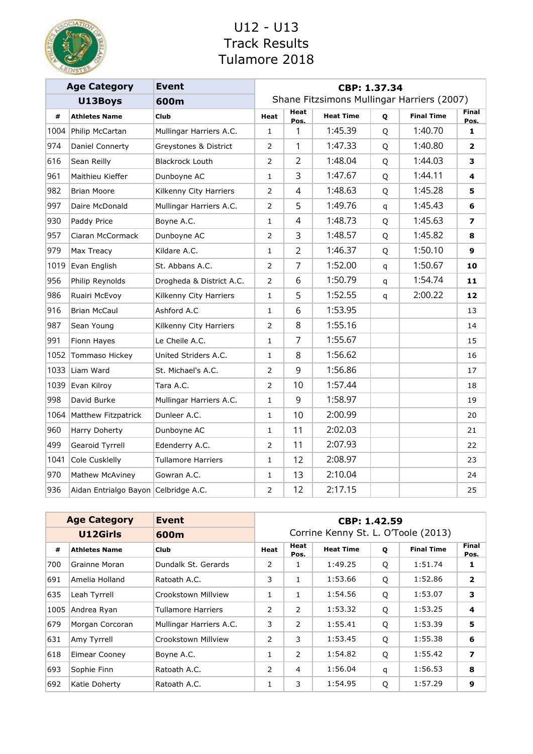

|      | <b>Age Category</b>                  | <b>Event</b>              | CBP: 1.37.34                          |                     |                                            |   |                   |                          |  |  |  |
|------|--------------------------------------|---------------------------|---------------------------------------|---------------------|--------------------------------------------|---|-------------------|--------------------------|--|--|--|
|      | U13Boys                              | 600m                      |                                       |                     | Shane Fitzsimons Mullingar Harriers (2007) |   |                   |                          |  |  |  |
| #    | <b>Athletes Name</b>                 | Club                      | Heat                                  | <b>Heat</b><br>Pos. | <b>Heat Time</b>                           | Q | <b>Final Time</b> | <b>Final</b><br>Pos.     |  |  |  |
| 1004 | Philip McCartan                      | Mullingar Harriers A.C.   | $\mathbf{1}$                          | 1                   | 1:45.39                                    | Q | 1:40.70           | $\mathbf{1}$             |  |  |  |
| 974  | Daniel Connerty                      | Greystones & District     | $\overline{2}$                        | 1                   | 1:47.33                                    | Q | 1:40.80           | $\overline{2}$           |  |  |  |
| 616  | Sean Reilly                          | <b>Blackrock Louth</b>    | $\overline{2}$                        | $\overline{2}$      | 1:48.04                                    | Q | 1:44.03           | 3                        |  |  |  |
| 961  | Maithieu Kieffer                     | Dunboyne AC               | 1                                     | 3                   | 1:47.67                                    | Q | 1:44.11           | 4                        |  |  |  |
| 982  | <b>Brian Moore</b>                   | Kilkenny City Harriers    | $\overline{2}$                        | 4                   | 1:48.63                                    | Q | 1:45.28           | 5                        |  |  |  |
| 997  | Daire McDonald                       | Mullingar Harriers A.C.   | $\overline{2}$                        | 5                   | 1:49.76                                    | q | 1:45.43           | 6                        |  |  |  |
| 930  | Paddy Price                          | Boyne A.C.                | 1                                     | 4                   | 1:48.73                                    | Q | 1:45.63           | $\overline{\phantom{a}}$ |  |  |  |
| 957  | Ciaran McCormack                     | Dunboyne AC               | 2                                     | 3                   | 1:48.57                                    | Q | 1:45.82           | 8                        |  |  |  |
| 979  | Max Treacy                           | Kildare A.C.              | $\mathbf{1}$                          | $\overline{2}$      | 1:46.37                                    | Q | 1:50.10           | 9                        |  |  |  |
| 1019 | Evan English                         | St. Abbans A.C.           | $\overline{2}$                        | $\overline{7}$      | 1:52.00                                    | q | 1:50.67           | 10                       |  |  |  |
| 956  | Philip Reynolds                      | Drogheda & District A.C.  | 2                                     | 6                   | 1:50.79                                    | q | 1:54.74           | 11                       |  |  |  |
| 986  | Ruairi McEvoy                        | Kilkenny City Harriers    | $\mathbf{1}$                          | 5                   | 1:52.55                                    | q | 2:00.22           | 12                       |  |  |  |
| 916  | <b>Brian McCaul</b>                  | Ashford A.C               | $\mathbf{1}$                          | 6                   | 1:53.95                                    |   |                   | 13                       |  |  |  |
| 987  | Sean Young                           | Kilkenny City Harriers    | $\overline{2}$                        | 8                   | 1:55.16                                    |   |                   | 14                       |  |  |  |
| 991  | Fionn Hayes                          | Le Cheile A.C.            | $\mathbf{1}$                          | $\overline{7}$      | 1:55.67                                    |   |                   | 15                       |  |  |  |
| 1052 | Tommaso Hickey                       | United Striders A.C.      | 1                                     | 8                   | 1:56.62                                    |   |                   | 16                       |  |  |  |
| 1033 | Liam Ward                            | St. Michael's A.C.        | $\overline{2}$                        | 9                   | 1:56.86                                    |   |                   | 17                       |  |  |  |
| 1039 | Evan Kilroy                          | Tara A.C.                 | $\overline{2}$                        | 10                  | 1:57.44                                    |   |                   | 18                       |  |  |  |
| 998  | David Burke                          | Mullingar Harriers A.C.   | $\mathbf{1}$                          | 9                   | 1:58.97                                    |   |                   | 19                       |  |  |  |
| 1064 | Matthew Fitzpatrick                  | Dunleer A.C.              | $\mathbf{1}$                          | 10                  | 2:00.99                                    |   |                   | 20                       |  |  |  |
| 960  | Harry Doherty                        | Dunboyne AC               | 1                                     | 11                  | 2:02.03                                    |   |                   | 21                       |  |  |  |
| 499  | Gearoid Tyrrell                      | Edenderry A.C.            | 2                                     | 11                  | 2:07.93                                    |   |                   | 22                       |  |  |  |
| 1041 | Cole Cusklelly                       | <b>Tullamore Harriers</b> | $\mathbf{1}$                          | 12                  | 2:08.97                                    |   |                   | 23                       |  |  |  |
| 970  | Mathew McAviney                      | Gowran A.C.               | 1                                     | 13                  | 2:10.04                                    |   |                   | 24                       |  |  |  |
| 936  | Aidan Entrialgo Bayon Celbridge A.C. |                           | 2:17.15<br>12<br>$\overline{2}$<br>25 |                     |                                            |   |                   |                          |  |  |  |

|      | <b>Age Category</b>  | <b>Event</b>            | CBP: 1.42.59 |              |                                     |   |                   |                         |  |  |  |
|------|----------------------|-------------------------|--------------|--------------|-------------------------------------|---|-------------------|-------------------------|--|--|--|
|      | U12Girls             | 600m                    |              |              | Corrine Kenny St. L. O'Toole (2013) |   |                   |                         |  |  |  |
| #    | <b>Athletes Name</b> | <b>Club</b>             | Heat         | Heat<br>Pos. | <b>Heat Time</b>                    | Q | <b>Final Time</b> | <b>Final</b><br>Pos.    |  |  |  |
| 700  | Grainne Moran        | Dundalk St. Gerards     | 2            |              | 1:49.25                             | Q | 1:51.74           | 1                       |  |  |  |
| 691  | Amelia Holland       | Ratoath A.C.            | 3            | 1            | 1:53.66                             | Q | 1:52.86           | $\overline{\mathbf{2}}$ |  |  |  |
| 635  | Leah Tyrrell         | Crookstown Millview     | 1            |              | 1:54.56                             | Q | 1:53.07           | 3                       |  |  |  |
| 1005 | Andrea Ryan          | Tullamore Harriers      | 2            | 2            | 1:53.32                             | Q | 1:53.25           | 4                       |  |  |  |
| 679  | Morgan Corcoran      | Mullingar Harriers A.C. | 3            | 2            | 1:55.41                             | Q | 1:53.39           | 5                       |  |  |  |
| 631  | Amy Tyrrell          | Crookstown Millview     | 2            | 3            | 1:53.45                             | Q | 1:55.38           | 6                       |  |  |  |
| 618  | Eimear Cooney        | Boyne A.C.              | 1            | 2            | 1:54.82                             | Q | 1:55.42           | 7                       |  |  |  |
| 693  | Sophie Finn          | Ratoath A.C.            | 2            | 4            | 1:56.04                             | q | 1:56.53           | 8                       |  |  |  |
| 692  | Katie Doherty        | Ratoath A.C.            | 1            | 3            | 1:54.95                             | Q | 1:57.29           | 9                       |  |  |  |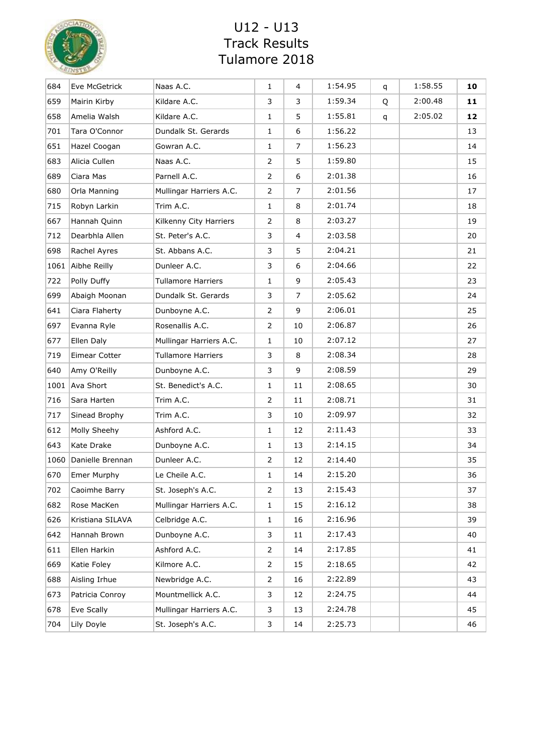

| 684  | Eve McGetrick      | Naas A.C.                 | 1            | 4              | 1:54.95 | q | 1:58.55 | 10 |
|------|--------------------|---------------------------|--------------|----------------|---------|---|---------|----|
| 659  | Mairin Kirby       | Kildare A.C.              | 3            | 3              | 1:59.34 | Q | 2:00.48 | 11 |
| 658  | Amelia Walsh       | Kildare A.C.              | 1            | 5              | 1:55.81 | q | 2:05.02 | 12 |
| 701  | Tara O'Connor      | Dundalk St. Gerards       | $\mathbf{1}$ | 6              | 1:56.22 |   |         | 13 |
| 651  | Hazel Coogan       | Gowran A.C.               | $\mathbf{1}$ | $\overline{7}$ | 1:56.23 |   |         | 14 |
| 683  | Alicia Cullen      | Naas A.C.                 | 2            | 5              | 1:59.80 |   |         | 15 |
| 689  | Ciara Mas          | Parnell A.C.              | 2            | 6              | 2:01.38 |   |         | 16 |
| 680  | Orla Manning       | Mullingar Harriers A.C.   | 2            | 7              | 2:01.56 |   |         | 17 |
| 715  | Robyn Larkin       | Trim A.C.                 | $\mathbf{1}$ | 8              | 2:01.74 |   |         | 18 |
| 667  | Hannah Quinn       | Kilkenny City Harriers    | 2            | 8              | 2:03.27 |   |         | 19 |
| 712  | Dearbhla Allen     | St. Peter's A.C.          | 3            | 4              | 2:03.58 |   |         | 20 |
| 698  | Rachel Ayres       | St. Abbans A.C.           | 3            | 5              | 2:04.21 |   |         | 21 |
| 1061 | Aibhe Reilly       | Dunleer A.C.              | 3            | 6              | 2:04.66 |   |         | 22 |
| 722  | Polly Duffy        | <b>Tullamore Harriers</b> | $\mathbf{1}$ | 9              | 2:05.43 |   |         | 23 |
| 699  | Abaigh Moonan      | Dundalk St. Gerards       | 3            | $\overline{7}$ | 2:05.62 |   |         | 24 |
| 641  | Ciara Flaherty     | Dunboyne A.C.             | 2            | 9              | 2:06.01 |   |         | 25 |
| 697  | Evanna Ryle        | Rosenallis A.C.           | 2            | 10             | 2:06.87 |   |         | 26 |
| 677  | Ellen Daly         | Mullingar Harriers A.C.   | $\mathbf{1}$ | 10             | 2:07.12 |   |         | 27 |
| 719  | Eimear Cotter      | <b>Tullamore Harriers</b> | 3            | 8              | 2:08.34 |   |         | 28 |
| 640  | Amy O'Reilly       | Dunboyne A.C.             | 3            | 9              | 2:08.59 |   |         | 29 |
| 1001 | Ava Short          | St. Benedict's A.C.       | $\mathbf{1}$ | 11             | 2:08.65 |   |         | 30 |
| 716  | Sara Harten        | Trim A.C.                 | 2            | 11             | 2:08.71 |   |         | 31 |
| 717  | Sinead Brophy      | Trim A.C.                 | 3            | 10             | 2:09.97 |   |         | 32 |
| 612  | Molly Sheehy       | Ashford A.C.              | 1            | 12             | 2:11.43 |   |         | 33 |
| 643  | Kate Drake         | Dunboyne A.C.             | $\mathbf{1}$ | 13             | 2:14.15 |   |         | 34 |
| 1060 | Danielle Brennan   | Dunleer A.C.              | 2            | 12             | 2:14.40 |   |         | 35 |
| 670  | <b>Emer Murphy</b> | Le Cheile A.C.            | 1            | 14             | 2:15.20 |   |         | 36 |
| 702  | Caoimhe Barry      | St. Joseph's A.C.         | 2            | 13             | 2:15.43 |   |         | 37 |
| 682  | Rose MacKen        | Mullingar Harriers A.C.   | 1            | 15             | 2:16.12 |   |         | 38 |
| 626  | Kristiana SILAVA   | Celbridge A.C.            | 1            | 16             | 2:16.96 |   |         | 39 |
| 642  | Hannah Brown       | Dunboyne A.C.             | 3            | 11             | 2:17.43 |   |         | 40 |
| 611  | Ellen Harkin       | Ashford A.C.              | 2            | 14             | 2:17.85 |   |         | 41 |
| 669  | Katie Foley        | Kilmore A.C.              | 2            | 15             | 2:18.65 |   |         | 42 |
| 688  | Aisling Irhue      | Newbridge A.C.            | 2            | 16             | 2:22.89 |   |         | 43 |
| 673  | Patricia Conroy    | Mountmellick A.C.         | 3            | 12             | 2:24.75 |   |         | 44 |
| 678  | Eve Scally         | Mullingar Harriers A.C.   | 3            | 13             | 2:24.78 |   |         | 45 |
| 704  | Lily Doyle         | St. Joseph's A.C.         | 3            | 14             | 2:25.73 |   |         | 46 |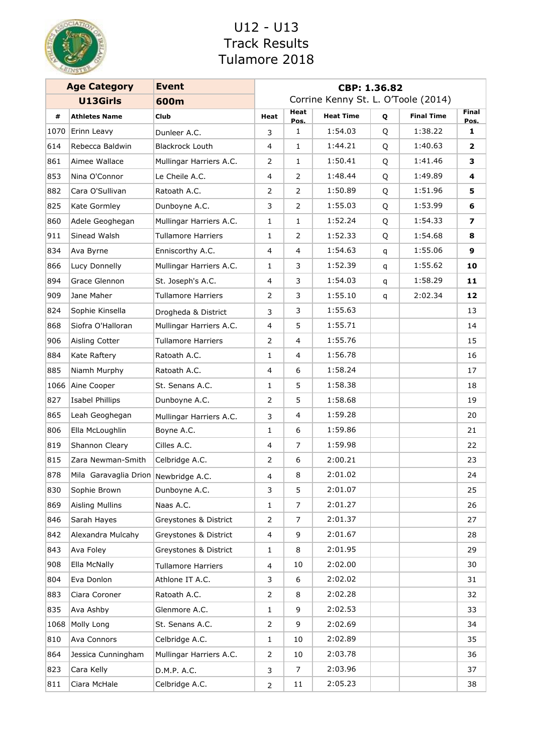

|      | <b>Age Category</b>                  | <b>Event</b>              | CBP: 1.36.82   |                |                                     |   |                   |                      |
|------|--------------------------------------|---------------------------|----------------|----------------|-------------------------------------|---|-------------------|----------------------|
|      | <b>U13Girls</b>                      | 600m                      |                |                | Corrine Kenny St. L. O'Toole (2014) |   |                   |                      |
| #    | <b>Athletes Name</b>                 | <b>Club</b>               | Heat           | Heat<br>Pos.   | <b>Heat Time</b>                    | Q | <b>Final Time</b> | <b>Final</b><br>Pos. |
| 1070 | Erinn Leavy                          | Dunleer A.C.              | 3              | 1              | 1:54.03                             | Q | 1:38.22           | 1                    |
| 614  | Rebecca Baldwin                      | <b>Blackrock Louth</b>    | 4              | $\mathbf{1}$   | 1:44.21                             | Q | 1:40.63           | $\mathbf{2}$         |
| 861  | Aimee Wallace                        | Mullingar Harriers A.C.   | 2              | $\mathbf{1}$   | 1:50.41                             | Q | 1:41.46           | 3                    |
| 853  | Nina O'Connor                        | Le Cheile A.C.            | 4              | 2              | 1:48.44                             | Q | 1:49.89           | 4                    |
| 882  | Cara O'Sullivan                      | Ratoath A.C.              | 2              | 2              | 1:50.89                             | Q | 1:51.96           | 5.                   |
| 825  | Kate Gormley                         | Dunboyne A.C.             | 3              | 2              | 1:55.03                             | Q | 1:53.99           | 6                    |
| 860  | Adele Geoghegan                      | Mullingar Harriers A.C.   | $\mathbf{1}$   | $\mathbf{1}$   | 1:52.24                             | Q | 1:54.33           | 7                    |
| 911  | Sinead Walsh                         | <b>Tullamore Harriers</b> | 1              | 2              | 1:52.33                             | Q | 1:54.68           | 8                    |
| 834  | Ava Byrne                            | Enniscorthy A.C.          | 4              | $\overline{4}$ | 1:54.63                             | q | 1:55.06           | 9                    |
| 866  | Lucy Donnelly                        | Mullingar Harriers A.C.   | 1              | 3              | 1:52.39                             | q | 1:55.62           | 10                   |
| 894  | Grace Glennon                        | St. Joseph's A.C.         | 4              | 3              | 1:54.03                             | q | 1:58.29           | 11                   |
| 909  | Jane Maher                           | <b>Tullamore Harriers</b> | 2              | 3              | 1:55.10                             | q | 2:02.34           | 12                   |
| 824  | Sophie Kinsella                      | Drogheda & District       | 3              | 3              | 1:55.63                             |   |                   | 13                   |
| 868  | Siofra O'Halloran                    | Mullingar Harriers A.C.   | 4              | 5              | 1:55.71                             |   |                   | 14                   |
| 906  | Aisling Cotter                       | <b>Tullamore Harriers</b> | 2              | $\overline{4}$ | 1:55.76                             |   |                   | 15                   |
| 884  | Kate Raftery                         | Ratoath A.C.              | 1              | $\overline{4}$ | 1:56.78                             |   |                   | 16                   |
| 885  | Niamh Murphy                         | Ratoath A.C.              | 4              | 6              | 1:58.24                             |   |                   | 17                   |
| 1066 | Aine Cooper                          | St. Senans A.C.           | 1              | 5              | 1:58.38                             |   |                   | 18                   |
| 827  | Isabel Phillips                      | Dunboyne A.C.             | $\overline{2}$ | 5              | 1:58.68                             |   |                   | 19                   |
| 865  | Leah Geoghegan                       | Mullingar Harriers A.C.   | 3              | 4              | 1:59.28                             |   |                   | 20                   |
| 806  | Ella McLoughlin                      | Boyne A.C.                | 1              | 6              | 1:59.86                             |   |                   | 21                   |
| 819  | Shannon Cleary                       | Cilles A.C.               | 4              | $\overline{7}$ | 1:59.98                             |   |                   | 22                   |
| 815  | Zara Newman-Smith                    | Celbridge A.C.            | 2              | 6              | 2:00.21                             |   |                   | 23                   |
| 878  | Mila Garavaglia Drion Newbridge A.C. |                           | 4              | 8              | 2:01.02                             |   |                   | 24                   |
| 830  | Sophie Brown                         | Dunboyne A.C.             | 3              | 5              | 2:01.07                             |   |                   | 25                   |
| 869  | <b>Aisling Mullins</b>               | Naas A.C.                 | 1              | 7              | 2:01.27                             |   |                   | 26                   |
| 846  | Sarah Hayes                          | Greystones & District     | $\overline{2}$ | 7              | 2:01.37                             |   |                   | 27                   |
| 842  | Alexandra Mulcahy                    | Greystones & District     | 4              | 9              | 2:01.67                             |   |                   | 28                   |
| 843  | Ava Foley                            | Greystones & District     | 1              | 8              | 2:01.95                             |   |                   | 29                   |
| 908  | Ella McNally                         | Tullamore Harriers        | 4              | 10             | 2:02.00                             |   |                   | 30                   |
| 804  | Eva Donlon                           | Athlone IT A.C.           | 3              | 6              | 2:02.02                             |   |                   | 31                   |
| 883  | Ciara Coroner                        | Ratoath A.C.              | 2              | 8              | 2:02.28                             |   |                   | 32                   |
| 835  | Ava Ashby                            | Glenmore A.C.             | 1              | 9              | 2:02.53                             |   |                   | 33                   |
| 1068 | Molly Long                           | St. Senans A.C.           | 2              | 9              | 2:02.69                             |   |                   | 34                   |
| 810  | Ava Connors                          | Celbridge A.C.            | $\mathbf{1}$   | 10             | 2:02.89                             |   |                   | 35                   |
| 864  | Jessica Cunningham                   | Mullingar Harriers A.C.   | 2              | 10             | 2:03.78                             |   |                   | 36                   |
| 823  | Cara Kelly                           | D.M.P. A.C.               | 3              | 7              | 2:03.96                             |   |                   | 37                   |
| 811  | Ciara McHale                         | Celbridge A.C.            | $\overline{2}$ | 11             | 2:05.23                             |   |                   | 38                   |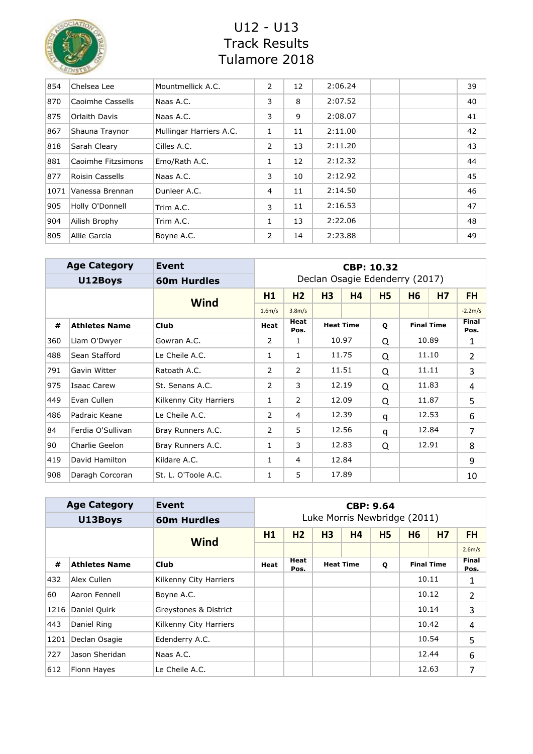

| 854  | Chelsea Lee        | Mountmellick A.C.       | 2 | 12 | 2:06.24 |  | 39 |
|------|--------------------|-------------------------|---|----|---------|--|----|
| 870  | Caoimhe Cassells   | Naas A.C.               | 3 | 8  | 2:07.52 |  | 40 |
| 875  | Orlaith Davis      | Naas A.C.               | 3 | 9  | 2:08.07 |  | 41 |
| 867  | Shauna Traynor     | Mullingar Harriers A.C. | 1 | 11 | 2:11.00 |  | 42 |
| 818  | Sarah Cleary       | Cilles A.C.             | 2 | 13 | 2:11.20 |  | 43 |
| 881  | Caoimhe Fitzsimons | Emo/Rath A.C.           | 1 | 12 | 2:12.32 |  | 44 |
| 877  | Roisin Cassells    | Naas A.C.               | 3 | 10 | 2:12.92 |  | 45 |
| 1071 | Vanessa Brennan    | Dunleer A.C.            | 4 | 11 | 2:14.50 |  | 46 |
| 905  | Holly O'Donnell    | Trim A.C.               | 3 | 11 | 2:16.53 |  | 47 |
| 904  | Ailish Brophy      | Trim A.C.               | 1 | 13 | 2:22.06 |  | 48 |
| 805  | Allie Garcia       | Boyne A.C.              | 2 | 14 | 2:23.88 |  | 49 |

|     | <b>Age Category</b>  | <b>CBP: 10.32</b>      |                               |                       |                |                  |           |                                |                   |                      |  |
|-----|----------------------|------------------------|-------------------------------|-----------------------|----------------|------------------|-----------|--------------------------------|-------------------|----------------------|--|
|     | U12Boys              | <b>60m Hurdles</b>     |                               |                       |                |                  |           | Declan Osagie Edenderry (2017) |                   |                      |  |
|     |                      | <b>Wind</b>            | H1                            | H <sub>2</sub>        | H <sub>3</sub> | H4               | <b>H5</b> | <b>H6</b>                      | <b>H7</b>         | <b>FH</b>            |  |
|     |                      |                        | 1.6 <sub>m/s</sub>            | 3.8 <sub>m/s</sub>    |                |                  |           |                                |                   | $-2.2m/s$            |  |
| #   | <b>Athletes Name</b> | <b>Club</b>            | Heat                          | <b>Heat</b><br>Pos.   |                | <b>Heat Time</b> | Q         |                                | <b>Final Time</b> | <b>Final</b><br>Pos. |  |
| 360 | Liam O'Dwyer         | Gowran A.C.            | 10.97<br>2<br>1               |                       |                |                  | Q         |                                | 10.89             | 1                    |  |
| 488 | Sean Stafford        | Le Cheile A.C.         | 1                             | 11.75<br>$\mathbf{1}$ |                |                  |           |                                | 11.10             | $\overline{2}$       |  |
| 791 | Gavin Witter         | Ratoath A.C.           | 2                             | 2                     | 11.51          |                  | Q         |                                | 11.11             | 3                    |  |
| 975 | Isaac Carew          | St. Senans A.C.        | 2                             | 3                     |                | 12.19            |           |                                | 11.83             | 4                    |  |
| 449 | Evan Cullen          | Kilkenny City Harriers | 1                             | $\overline{2}$        |                | 12.09            | Q         | 11.87                          |                   | 5                    |  |
| 486 | Padraic Keane        | Le Cheile A.C.         | 2                             | 4                     |                | 12.39            | q         |                                | 12.53             | 6                    |  |
| 84  | Ferdia O'Sullivan    | Bray Runners A.C.      | 2                             | 5                     |                | 12.56            | q         |                                | 12.84             | 7                    |  |
| 90  | Charlie Geelon       | Bray Runners A.C.      | 12.83<br>12.91<br>3<br>1<br>Q |                       |                |                  |           | 8                              |                   |                      |  |
| 419 | David Hamilton       | Kildare A.C.           | 12.84<br>1<br>4               |                       |                |                  | 9         |                                |                   |                      |  |
| 908 | Daragh Corcoran      | St. L. O'Toole A.C.    | 1                             | 5                     |                | 17.89            |           |                                |                   | 10                   |  |

|      | <b>Age Category</b>  | Event                  | <b>CBP: 9.64</b> |                |    |                  |                              |           |                   |                |  |  |
|------|----------------------|------------------------|------------------|----------------|----|------------------|------------------------------|-----------|-------------------|----------------|--|--|
|      | U13Boys              | <b>60m Hurdles</b>     |                  |                |    |                  | Luke Morris Newbridge (2011) |           |                   |                |  |  |
|      |                      | <b>Wind</b>            | H1               | H <sub>2</sub> | H3 | <b>H4</b>        | <b>H5</b>                    | <b>H6</b> | <b>H7</b>         | <b>FH</b>      |  |  |
|      |                      |                        |                  |                |    |                  |                              |           |                   | 2.6m/s         |  |  |
| #    | <b>Athletes Name</b> | <b>Club</b>            | Heat             | Heat<br>Pos.   |    | <b>Heat Time</b> | Q                            |           | <b>Final Time</b> | Final<br>Pos.  |  |  |
| 432  | Alex Cullen          | Kilkenny City Harriers |                  |                |    |                  |                              |           | 10.11             | 1              |  |  |
| 60   | Aaron Fennell        | Boyne A.C.             |                  |                |    |                  |                              |           | 10.12             | 2              |  |  |
| 1216 | Daniel Quirk         | Greystones & District  |                  |                |    |                  |                              |           | 10.14             | 3              |  |  |
| 443  | Daniel Ring          | Kilkenny City Harriers |                  |                |    |                  |                              |           | 10.42             | $\overline{4}$ |  |  |
| 1201 | Declan Osagie        | Edenderry A.C.         |                  |                |    |                  |                              |           | 10.54             | 5              |  |  |
| 727  | Jason Sheridan       | Naas A.C.              |                  |                |    |                  |                              |           | 12.44             | 6              |  |  |
| 612  | Fionn Hayes          | Le Cheile A.C.         |                  |                |    |                  |                              |           | 12.63             | 7              |  |  |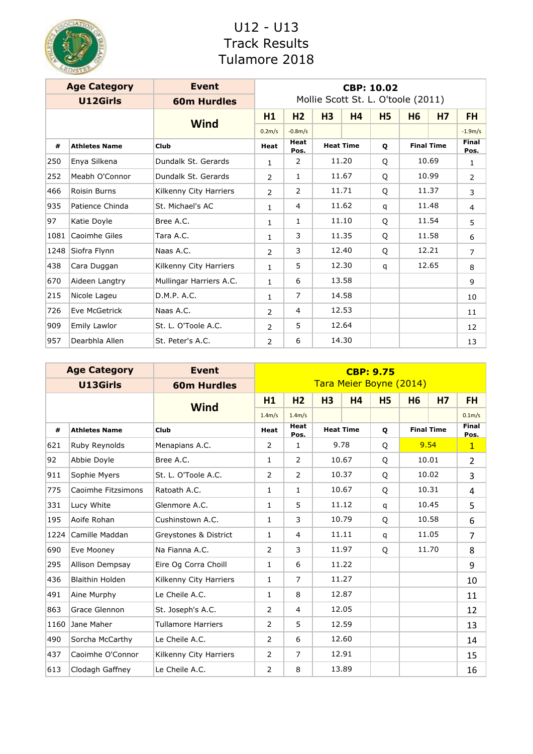

|      | <b>Age Category</b>  | <b>Event</b>            | <b>CBP: 10.02</b>   |                     |                |                  |           |                                    |                   |                      |  |  |  |  |   |  |       |   |
|------|----------------------|-------------------------|---------------------|---------------------|----------------|------------------|-----------|------------------------------------|-------------------|----------------------|--|--|--|--|---|--|-------|---|
|      | U12Girls             | <b>60m Hurdles</b>      |                     |                     |                |                  |           | Mollie Scott St. L. O'toole (2011) |                   |                      |  |  |  |  |   |  |       |   |
|      |                      | <b>Wind</b>             | H1                  | H <sub>2</sub>      | H <sub>3</sub> | <b>H4</b>        | <b>H5</b> | H <sub>6</sub>                     | <b>H7</b>         | <b>FH</b>            |  |  |  |  |   |  |       |   |
|      |                      |                         | 0.2 <sub>m</sub> /s | $-0.8m/s$           |                |                  |           |                                    |                   | $-1.9m/s$            |  |  |  |  |   |  |       |   |
| #    | <b>Athletes Name</b> | Club                    | Heat                | <b>Heat</b><br>Pos. |                | <b>Heat Time</b> | Q         |                                    | <b>Final Time</b> | <b>Final</b><br>Pos. |  |  |  |  |   |  |       |   |
| 250  | Enya Silkena         | Dundalk St. Gerards     | $\mathbf{1}$        | 2                   |                | 11.20            | Q         |                                    | 10.69             | 1                    |  |  |  |  |   |  |       |   |
| 252  | Meabh O'Connor       | Dundalk St. Gerards     | $\overline{2}$      | $\mathbf{1}$        | 11.67          |                  |           |                                    |                   |                      |  |  |  |  | Q |  | 10.99 | 2 |
| 466  | <b>Roisin Burns</b>  | Kilkenny City Harriers  | $\overline{2}$      | 2                   | 11.71          |                  | Q         |                                    | 11.37             | 3                    |  |  |  |  |   |  |       |   |
| 935  | Patience Chinda      | St. Michael's AC        | $\mathbf{1}$        | 4                   | 11.62          |                  | q         |                                    | 11.48             | $\overline{4}$       |  |  |  |  |   |  |       |   |
| 97   | Katie Doyle          | Bree A.C.               | $\mathbf{1}$        | $\mathbf{1}$        |                | 11.10            |           | 11.54                              |                   | 5                    |  |  |  |  |   |  |       |   |
| 1081 | Caoimhe Giles        | Tara A.C.               | $\mathbf{1}$        | 3                   |                | 11.35            | Q         |                                    | 11.58             | 6                    |  |  |  |  |   |  |       |   |
| 1248 | Siofra Flynn         | Naas A.C.               | $\overline{2}$      | 3                   |                | 12.40            | Q         |                                    | 12.21             | $\overline{7}$       |  |  |  |  |   |  |       |   |
| 438  | Cara Duggan          | Kilkenny City Harriers  | $\mathbf{1}$        | 5                   |                | 12.30            | q         |                                    | 12.65             | 8                    |  |  |  |  |   |  |       |   |
| 670  | Aideen Langtry       | Mullingar Harriers A.C. | $\mathbf{1}$        | 6                   |                | 13.58            |           |                                    |                   | 9                    |  |  |  |  |   |  |       |   |
| 215  | Nicole Lageu         | D.M.P. A.C.             | 1                   | $\overline{7}$      |                | 14.58            |           |                                    |                   | 10                   |  |  |  |  |   |  |       |   |
| 726  | Eve McGetrick        | Naas A.C.               | $\overline{2}$      | 4                   |                | 12.53            |           |                                    |                   | 11                   |  |  |  |  |   |  |       |   |
| 909  | Emily Lawlor         | St. L. O'Toole A.C.     | $\overline{2}$      | 5<br>12.64          |                |                  |           |                                    | 12                |                      |  |  |  |  |   |  |       |   |
| 957  | Dearbhla Allen       | St. Peter's A.C.        | $\overline{2}$      | 6                   |                | 14.30            |           |                                    |                   | 13                   |  |  |  |  |   |  |       |   |

|      | <b>Age Category</b>  | <b>Event</b>              | <b>CBP: 9.75</b>             |                     |                |                  |                         |                   |                |                      |  |
|------|----------------------|---------------------------|------------------------------|---------------------|----------------|------------------|-------------------------|-------------------|----------------|----------------------|--|
|      | U13Girls             | <b>60m Hurdles</b>        |                              |                     |                |                  | Tara Meier Boyne (2014) |                   |                |                      |  |
|      |                      | <b>Wind</b>               | H1                           | H <sub>2</sub>      | H <sub>3</sub> | <b>H4</b>        | <b>H5</b>               | <b>H6</b>         | H <sub>7</sub> | <b>FH</b>            |  |
|      |                      |                           | 1.4m/s                       | 1.4m/s              |                |                  |                         |                   |                | 0.1 <sub>m</sub> /s  |  |
| #    | <b>Athletes Name</b> | Club                      | Heat                         | <b>Heat</b><br>Pos. |                | <b>Heat Time</b> | Q                       | <b>Final Time</b> |                | <b>Final</b><br>Pos. |  |
| 621  | Ruby Reynolds        | Menapians A.C.            | $\overline{2}$               | $\mathbf{1}$        |                | 9.78             | Q                       |                   | 9.54           |                      |  |
| 92   | Abbie Doyle          | Bree A.C.                 | $\mathbf{1}$                 | 10.67<br>2          |                |                  | O                       |                   | 10.01          | $\overline{2}$       |  |
| 911  | Sophie Myers         | St. L. O'Toole A.C.       | 2                            | 10.37<br>2          |                |                  |                         |                   | 10.02          | 3                    |  |
| 775  | Caoimhe Fitzsimons   | Ratoath A.C.              | $\mathbf{1}$                 | 1                   |                | 10.67            | Q                       |                   | 10.31          | 4                    |  |
| 331  | Lucy White           | Glenmore A.C.             | $\mathbf{1}$                 | 5                   | 11.12          |                  | q                       | 10.45             |                | 5                    |  |
| 195  | Aoife Rohan          | Cushinstown A.C.          | $\mathbf{1}$                 | 3                   |                | 10.79            | Q                       |                   | 10.58          | 6                    |  |
| 1224 | Camille Maddan       | Greystones & District     | $\mathbf{1}$                 | $\overline{4}$      |                | 11.11            | q                       | 11.05             |                | $\overline{7}$       |  |
| 690  | Eve Mooney           | Na Fianna A.C.            | 2                            | 3                   |                | 11.97            | Q                       |                   | 11.70          | 8                    |  |
| 295  | Allison Dempsay      | Eire Og Corra Choill      | $\mathbf{1}$                 | 6                   |                | 11.22            |                         |                   |                | 9                    |  |
| 436  | Blaithin Holden      | Kilkenny City Harriers    | $\mathbf{1}$                 | $\overline{7}$      |                | 11.27            |                         |                   |                | 10                   |  |
| 491  | Aine Murphy          | Le Cheile A.C.            | $\mathbf{1}$                 | 8                   |                | 12.87            |                         |                   |                | 11                   |  |
| 863  | Grace Glennon        | St. Joseph's A.C.         | 2                            | $\overline{4}$      |                | 12.05            |                         |                   |                | 12                   |  |
| 1160 | Jane Maher           | <b>Tullamore Harriers</b> | 12.59<br>5<br>2              |                     |                |                  |                         |                   |                | 13                   |  |
| 490  | Sorcha McCarthy      | Le Cheile A.C.            | 12.60<br>$\overline{2}$<br>6 |                     |                |                  |                         | 14                |                |                      |  |
| 437  | Caoimhe O'Connor     | Kilkenny City Harriers    | 12.91<br>$\overline{7}$<br>2 |                     |                |                  |                         | 15                |                |                      |  |
| 613  | Clodagh Gaffney      | Le Cheile A.C.            | 13.89<br>8<br>2              |                     |                |                  |                         | 16                |                |                      |  |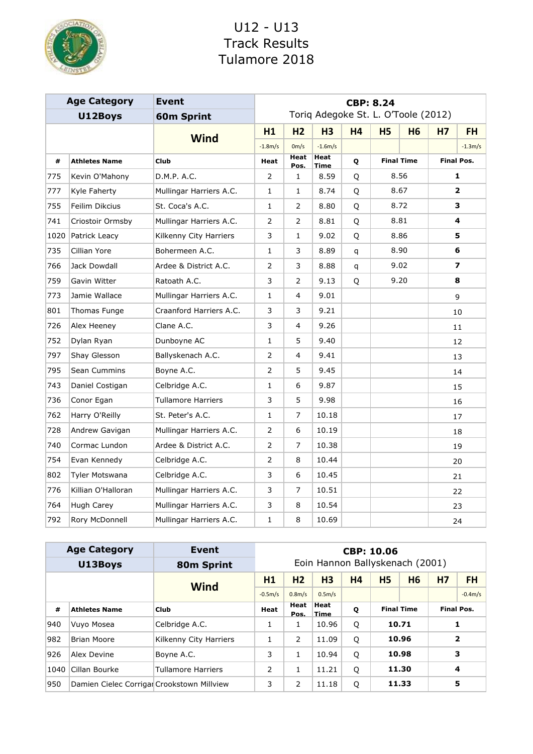

|      | <b>Age Category</b>  | <b>Event</b>              | <b>CBP: 8.24</b>             |                |                                     |           |           |                   |                |                         |  |   |
|------|----------------------|---------------------------|------------------------------|----------------|-------------------------------------|-----------|-----------|-------------------|----------------|-------------------------|--|---|
|      | U12Boys              | <b>60m Sprint</b>         |                              |                | Toriq Adegoke St. L. O'Toole (2012) |           |           |                   |                |                         |  |   |
|      |                      |                           | H1                           | H <sub>2</sub> | H <sub>3</sub>                      | <b>H4</b> | <b>H5</b> | <b>H6</b>         | H <sub>7</sub> | <b>FH</b>               |  |   |
|      |                      | <b>Wind</b>               | $-1.8m/s$                    | 0m/s           | $-1.6m/s$                           |           |           |                   |                | $-1.3m/s$               |  |   |
| #    | <b>Athletes Name</b> | <b>Club</b>               | <b>Heat</b>                  | Heat<br>Pos.   | <b>Heat</b><br><b>Time</b>          | Q         |           | <b>Final Time</b> |                | <b>Final Pos.</b>       |  |   |
| 775  | Kevin O'Mahony       | D.M.P. A.C.               | $\overline{2}$               | $\mathbf{1}$   | 8.59                                | Q         |           | 8.56              |                | 1                       |  |   |
| 777  | Kyle Faherty         | Mullingar Harriers A.C.   | 1                            | $\mathbf{1}$   | 8.74                                | Q         |           | 8.67              |                | 2                       |  |   |
| 755  | Feilim Dikcius       | St. Coca's A.C.           | 1                            | $\overline{2}$ | 8.80                                | Q         |           | 8.72              |                | 3                       |  |   |
| 741  | Criostoir Ormsby     | Mullingar Harriers A.C.   | 2                            | 2              | 8.81                                | Q         | 8.81      |                   |                |                         |  | 4 |
| 1020 | Patrick Leacy        | Kilkenny City Harriers    | 3                            | $\mathbf{1}$   | 9.02                                | Q         |           | 8.86              |                | 5.                      |  |   |
| 735  | Cillian Yore         | Bohermeen A.C.            | 1                            | 3              | 8.89                                | q         |           | 8.90              |                | 6                       |  |   |
| 766  | Jack Dowdall         | Ardee & District A.C.     | $\overline{2}$               | 3              | 8.88                                | q         |           | 9.02              |                | $\overline{\mathbf{z}}$ |  |   |
| 759  | Gavin Witter         | Ratoath A.C.              | 3                            | 2              | 9.13                                | Q         |           | 9.20              |                | 8                       |  |   |
| 773  | Jamie Wallace        | Mullingar Harriers A.C.   | 1                            | $\overline{4}$ | 9.01                                |           |           |                   | 9              |                         |  |   |
| 801  | Thomas Funge         | Craanford Harriers A.C.   | 3                            | 3              | 9.21                                |           |           |                   |                | 10                      |  |   |
| 726  | Alex Heeney          | Clane A.C.                | 3                            | 4              | 9.26                                |           |           |                   |                | 11                      |  |   |
| 752  | Dylan Ryan           | Dunboyne AC               | 1                            | 5              | 9.40                                |           |           |                   |                | 12                      |  |   |
| 797  | Shay Glesson         | Ballyskenach A.C.         | 2                            | $\overline{4}$ | 9.41                                |           |           |                   |                | 13                      |  |   |
| 795  | Sean Cummins         | Boyne A.C.                | 2                            | 5              | 9.45                                |           |           |                   |                | 14                      |  |   |
| 743  | Daniel Costigan      | Celbridge A.C.            | $\mathbf{1}$                 | 6              | 9.87                                |           |           |                   |                | 15                      |  |   |
| 736  | Conor Egan           | <b>Tullamore Harriers</b> | 3                            | 5              | 9.98                                |           |           |                   |                | 16                      |  |   |
| 762  | Harry O'Reilly       | St. Peter's A.C.          | 1                            | 7              | 10.18                               |           |           |                   |                | 17                      |  |   |
| 728  | Andrew Gavigan       | Mullingar Harriers A.C.   | 2                            | 6              | 10.19                               |           |           |                   |                | 18                      |  |   |
| 740  | Cormac Lundon        | Ardee & District A.C.     | 2                            | 7              | 10.38                               |           |           |                   |                | 19                      |  |   |
| 754  | Evan Kennedy         | Celbridge A.C.            | 2                            | 8              | 10.44                               |           |           |                   |                | 20                      |  |   |
| 802  | Tyler Motswana       | Celbridge A.C.            | 3                            | 6              | 10.45                               |           |           |                   |                | 21                      |  |   |
| 776  | Killian O'Halloran   | Mullingar Harriers A.C.   | $\overline{7}$<br>3<br>10.51 |                |                                     |           | 22        |                   |                |                         |  |   |
| 764  | Hugh Carey           | Mullingar Harriers A.C.   | 3                            | 8              | 10.54                               |           |           |                   |                | 23                      |  |   |
| 792  | Rory McDonnell       | 1                         | 8                            | 10.69          |                                     |           |           |                   | 24             |                         |  |   |

|      | <b>Age Category</b>                        | <b>Event</b>           | <b>CBP: 10.06</b>               |                          |                     |           |                   |           |                   |           |  |
|------|--------------------------------------------|------------------------|---------------------------------|--------------------------|---------------------|-----------|-------------------|-----------|-------------------|-----------|--|
|      | U13Boys                                    | 80m Sprint             | Eoin Hannon Ballyskenach (2001) |                          |                     |           |                   |           |                   |           |  |
|      |                                            | <b>Wind</b>            | H1                              | H <sub>2</sub>           | H <sub>3</sub>      | <b>H4</b> | <b>H5</b>         | <b>H6</b> | <b>H7</b>         | <b>FH</b> |  |
|      |                                            |                        | $-0.5m/s$                       | 0.8 <sub>m/s</sub>       | 0.5 <sub>m</sub> /s |           |                   |           |                   | $-0.4m/s$ |  |
| #    | <b>Athletes Name</b>                       | <b>Club</b>            | Heat                            | <b>Heat</b><br>Pos.      | Heat<br>Time        | Q         | <b>Final Time</b> |           | <b>Final Pos.</b> |           |  |
| 940  | Vuyo Mosea                                 | Celbridge A.C.         | 1                               | 1                        | 10.96               | Q         |                   | 10.71     |                   |           |  |
| 982  | <b>Brian Moore</b>                         | Kilkenny City Harriers | 1                               | 2                        | 11.09               | Q         |                   | 10.96     |                   | 2         |  |
| 926  | Alex Devine                                | Boyne A.C.             | 3                               |                          | 10.94               | Q         |                   | 10.98     |                   | 3         |  |
| 1040 | Cillan Bourke                              | Tullamore Harriers     | 2                               |                          | 11.21               | Q         |                   | 11.30     |                   | 4         |  |
| 950  | Damien Cielec Corrigar Crookstown Millview |                        | 3                               | 11.33<br>2<br>11.18<br>Q |                     |           |                   | 5         |                   |           |  |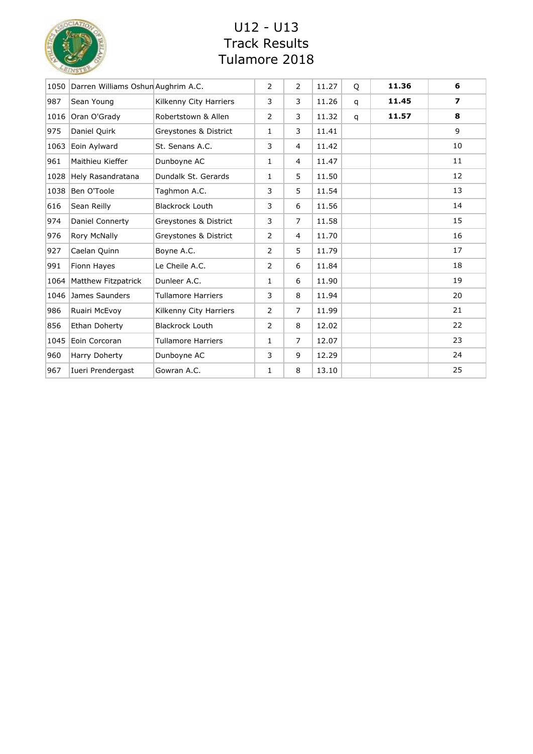

| 1050 | Darren Williams Oshun Aughrim A.C. |                           | 2              | $\overline{2}$ | 11.27 | Q | 11.36 | 6                |
|------|------------------------------------|---------------------------|----------------|----------------|-------|---|-------|------------------|
| 987  | Sean Young                         | Kilkenny City Harriers    | 3              | 3              | 11.26 | q | 11.45 | $\boldsymbol{7}$ |
| 1016 | Oran O'Grady                       | Robertstown & Allen       | $\overline{2}$ | 3              | 11.32 | q | 11.57 | 8                |
| 975  | Daniel Quirk                       | Greystones & District     | 1              | 3              | 11.41 |   |       | 9                |
| 1063 | Eoin Aylward                       | St. Senans A.C.           | 3              | 4              | 11.42 |   |       | 10               |
| 961  | Maithieu Kieffer                   | Dunboyne AC               | 1              | $\overline{4}$ | 11.47 |   |       | 11               |
| 1028 | Hely Rasandratana                  | Dundalk St. Gerards       | $\mathbf{1}$   | 5              | 11.50 |   |       | 12               |
| 1038 | Ben O'Toole                        | Taghmon A.C.              | 3              | 5              | 11.54 |   |       | 13               |
| 616  | Sean Reilly                        | <b>Blackrock Louth</b>    | 3              | 6              | 11.56 |   |       | 14               |
| 974  | Daniel Connerty                    | Greystones & District     | 3              | $\overline{7}$ | 11.58 |   |       | 15               |
| 976  | <b>Rory McNally</b>                | Greystones & District     | $\overline{2}$ | 4              | 11.70 |   |       | 16               |
| 927  | Caelan Quinn                       | Boyne A.C.                | 2              | 5              | 11.79 |   |       | 17               |
| 991  | Fionn Hayes                        | Le Cheile A.C.            | $\overline{2}$ | 6              | 11.84 |   |       | 18               |
| 1064 | Matthew Fitzpatrick                | Dunleer A.C.              | 1              | 6              | 11.90 |   |       | 19               |
| 1046 | James Saunders                     | <b>Tullamore Harriers</b> | 3              | 8              | 11.94 |   |       | 20               |
| 986  | Ruairi McEvoy                      | Kilkenny City Harriers    | $\overline{2}$ | $\overline{7}$ | 11.99 |   |       | 21               |
| 856  | Ethan Doherty                      | <b>Blackrock Louth</b>    | $\overline{2}$ | 8              | 12.02 |   |       | 22               |
| 1045 | Eoin Corcoran                      | <b>Tullamore Harriers</b> | $\mathbf{1}$   | $\overline{7}$ | 12.07 |   |       | 23               |
| 960  | Harry Doherty                      | Dunboyne AC               | 3              | 9              | 12.29 |   |       | 24               |
| 967  | Iueri Prendergast                  | Gowran A.C.               | 1              | 8              | 13.10 |   |       | 25               |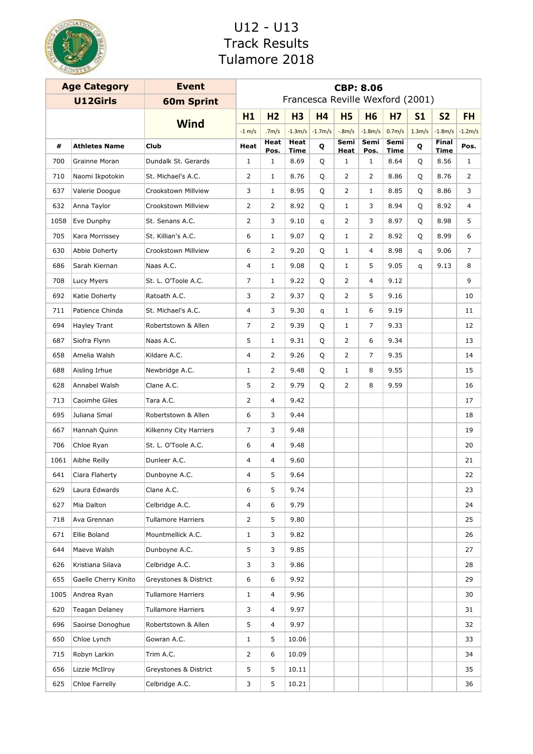

| <b>Age Category</b> |                      | <b>Event</b>              | <b>CBP: 8.06</b>                 |                   |                     |           |                |                |                     |                    |               |           |
|---------------------|----------------------|---------------------------|----------------------------------|-------------------|---------------------|-----------|----------------|----------------|---------------------|--------------------|---------------|-----------|
|                     | U12Girls             | <b>60m Sprint</b>         | Francesca Reville Wexford (2001) |                   |                     |           |                |                |                     |                    |               |           |
|                     |                      | <b>Wind</b>               | H1                               | H <sub>2</sub>    | <b>H3</b>           | <b>H4</b> | <b>H5</b>      | <b>H6</b>      | <b>H7</b>           | S <sub>1</sub>     | <b>S2</b>     | <b>FH</b> |
|                     |                      |                           | $-1$ m/s                         | .7 <sub>m/s</sub> | $-1.3m/s$           | $-1.7m/s$ | $-8m/s$        | $-1.8m/s$      | 0.7 <sub>m</sub> /s | 1.3 <sub>m/s</sub> | $-1.8m/s$     | $-1.2m/s$ |
| #                   | <b>Athletes Name</b> | <b>Club</b>               | Heat                             | Heat<br>Pos.      | Heat<br><b>Time</b> | Q         | Semi<br>Heat   | Semi<br>Pos.   | Semi<br>Time        | Q                  | Final<br>Time | Pos.      |
| 700                 | Grainne Moran        | Dundalk St. Gerards       | $\mathbf{1}$                     | $\mathbf{1}$      | 8.69                | Q         | $\mathbf 1$    | $\mathbf{1}$   | 8.64                | Q                  | 8.56          | 1         |
| 710                 | Naomi Ikpotokin      | St. Michael's A.C.        | 2                                | 1                 | 8.76                | Q         | 2              | 2              | 8.86                | Q                  | 8.76          | 2         |
| 637                 | Valerie Doogue       | Crookstown Millview       | 3                                | $\mathbf{1}$      | 8.95                | Q         | 2              | $\mathbf{1}$   | 8.85                | Q                  | 8.86          | 3         |
| 632                 | Anna Taylor          | Crookstown Millview       | 2                                | $\overline{2}$    | 8.92                | Q         | $\mathbf{1}$   | 3              | 8.94                | Q                  | 8.92          | 4         |
| 1058                | Eve Dunphy           | St. Senans A.C.           | 2                                | 3                 | 9.10                | q         | $\overline{2}$ | 3              | 8.97                | Q                  | 8.98          | 5         |
| 705                 | Kara Morrissey       | St. Killian's A.C.        | 6                                | $\mathbf{1}$      | 9.07                | Q         | $\mathbf{1}$   | 2              | 8.92                | Q                  | 8.99          | 6         |
| 630                 | Abbie Doherty        | Crookstown Millview       | 6                                | 2                 | 9.20                | Q         | 1              | 4              | 8.98                | q                  | 9.06          | 7         |
| 686                 | Sarah Kiernan        | Naas A.C.                 | $\overline{4}$                   | $\mathbf{1}$      | 9.08                | Q         | 1              | 5              | 9.05                | q                  | 9.13          | 8         |
| 708                 | Lucy Myers           | St. L. O'Toole A.C.       | 7                                | $\mathbf{1}$      | 9.22                | Q         | 2              | 4              | 9.12                |                    |               | 9         |
| 692                 | Katie Doherty        | Ratoath A.C.              | 3                                | 2                 | 9.37                | Q         | $\overline{2}$ | 5              | 9.16                |                    |               | 10        |
| 711                 | Patience Chinda      | St. Michael's A.C.        | 4                                | 3                 | 9.30                | q         | $\mathbf{1}$   | 6              | 9.19                |                    |               | 11        |
| 694                 | Hayley Trant         | Robertstown & Allen       | $\overline{7}$                   | 2                 | 9.39                | Q         | $\mathbf 1$    | $\overline{7}$ | 9.33                |                    |               | 12        |
| 687                 | Siofra Flynn         | Naas A.C.                 | 5                                | $\mathbf{1}$      | 9.31                | Q         | 2              | 6              | 9.34                |                    |               | 13        |
| 658                 | Amelia Walsh         | Kildare A.C.              | 4                                | 2                 | 9.26                | Q         | 2              | 7              | 9.35                |                    |               | 14        |
| 688                 | Aisling Irhue        | Newbridge A.C.            | 1                                | 2                 | 9.48                | Q         | 1              | 8              | 9.55                |                    |               | 15        |
| 628                 | Annabel Walsh        | Clane A.C.                | 5                                | 2                 | 9.79                | Q         | 2              | 8              | 9.59                |                    |               | 16        |
| 713                 | Caoimhe Giles        | Tara A.C.                 | 2                                | 4                 | 9.42                |           |                |                |                     |                    |               | 17        |
| 695                 | Juliana Smal         | Robertstown & Allen       | 6                                | 3                 | 9.44                |           |                |                |                     |                    |               | 18        |
| 667                 | Hannah Quinn         | Kilkenny City Harriers    | 7                                | 3                 | 9.48                |           |                |                |                     |                    |               | 19        |
| 706                 | Chloe Ryan           | St. L. O'Toole A.C.       | 6                                | 4                 | 9.48                |           |                |                |                     |                    |               | 20        |
| 1061                | Aibhe Reilly         | Dunleer A.C.              | 4                                | 4                 | 9.60                |           |                |                |                     |                    |               | 21        |
| 641                 | Ciara Flaherty       | Dunboyne A.C.             | 4                                | 5                 | 9.64                |           |                |                |                     |                    |               | 22        |
| 629                 | Laura Edwards        | Clane A.C.                | 6                                | 5                 | 9.74                |           |                |                |                     |                    |               | 23        |
| 627                 | Mia Dalton           | Celbridge A.C.            | 4                                | 6                 | 9.79                |           |                |                |                     |                    |               | 24        |
| 718                 | Ava Grennan          | <b>Tullamore Harriers</b> | 2                                | 5                 | 9.80                |           |                |                |                     |                    |               | 25        |
| 671                 | Ellie Boland         | Mountmellick A.C.         | $\mathbf{1}$                     | 3                 | 9.82                |           |                |                |                     |                    |               | 26        |
| 644                 | Maeve Walsh          | Dunboyne A.C.             | 5                                | 3                 | 9.85                |           |                |                |                     |                    |               | 27        |
| 626                 | Kristiana Silava     | Celbridge A.C.            | 3                                | 3                 | 9.86                |           |                |                |                     |                    |               | 28        |
| 655                 | Gaelle Cherry Kinito | Greystones & District     | 6                                | 6                 | 9.92                |           |                |                |                     |                    |               | 29        |
| 1005                | Andrea Ryan          | <b>Tullamore Harriers</b> | $\mathbf{1}$                     | 4                 | 9.96                |           |                |                |                     |                    |               | 30        |
| 620                 | Teagan Delaney       | <b>Tullamore Harriers</b> | 3                                | 4                 | 9.97                |           |                |                |                     |                    |               | 31        |
| 696                 | Saoirse Donoghue     | Robertstown & Allen       | 5                                | 4                 | 9.97                |           |                |                |                     |                    |               | 32        |
| 650                 | Chloe Lynch          | Gowran A.C.               | $\mathbf{1}$                     | 5                 | 10.06               |           |                |                |                     |                    |               | 33        |
| 715                 | Robyn Larkin         | Trim A.C.                 | 2                                | 6                 | 10.09               |           |                |                |                     |                    |               | 34        |
| 656                 | Lizzie McIlroy       | Greystones & District     | 5                                | 5                 | 10.11               |           |                |                |                     |                    |               | 35        |
| 625                 | Chloe Farrelly       | Celbridge A.C.            | 3                                | 5                 | 10.21               |           |                |                |                     |                    |               | 36        |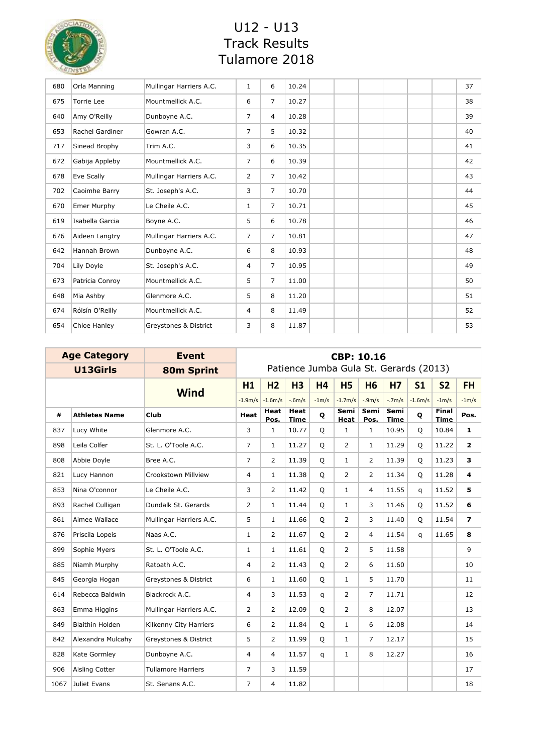

| 680 | Orla Manning           | Mullingar Harriers A.C. | $\mathbf{1}$   | 6              | 10.24 | 37 |
|-----|------------------------|-------------------------|----------------|----------------|-------|----|
| 675 | Torrie Lee             | Mountmellick A.C.       | 6              | $\overline{7}$ | 10.27 | 38 |
| 640 | Amy O'Reilly           | Dunboyne A.C.           | $\overline{7}$ | $\overline{4}$ | 10.28 | 39 |
| 653 | <b>Rachel Gardiner</b> | Gowran A.C.             | $\overline{7}$ | 5              | 10.32 | 40 |
| 717 | Sinead Brophy          | Trim A.C.               | 3              | 6              | 10.35 | 41 |
| 672 | Gabija Appleby         | Mountmellick A.C.       | $\overline{7}$ | 6              | 10.39 | 42 |
| 678 | Eve Scally             | Mullingar Harriers A.C. | $\overline{2}$ | $\overline{7}$ | 10.42 | 43 |
| 702 | Caoimhe Barry          | St. Joseph's A.C.       | 3              | $\overline{7}$ | 10.70 | 44 |
| 670 | Emer Murphy            | Le Cheile A.C.          | 1              | $\overline{7}$ | 10.71 | 45 |
| 619 | Isabella Garcia        | Boyne A.C.              | 5              | 6              | 10.78 | 46 |
| 676 | Aideen Langtry         | Mullingar Harriers A.C. | $\overline{7}$ | $\overline{7}$ | 10.81 | 47 |
| 642 | Hannah Brown           | Dunboyne A.C.           | 6              | 8              | 10.93 | 48 |
| 704 | Lily Doyle             | St. Joseph's A.C.       | 4              | $\overline{7}$ | 10.95 | 49 |
| 673 | Patricia Conroy        | Mountmellick A.C.       | 5              | $\overline{7}$ | 11.00 | 50 |
| 648 | Mia Ashby              | Glenmore A.C.           | 5              | 8              | 11.20 | 51 |
| 674 | Róisín O'Reilly        | Mountmellick A.C.       | $\overline{4}$ | 8              | 11.49 | 52 |
| 654 | Chloe Hanley           | Greystones & District   | 3              | 8              | 11.87 | 53 |

| <b>Age Category</b> |                        | <b>Event</b>              | <b>CBP: 10.16</b> |                     |                            |           |                                        |                     |                     |                |                             |                         |
|---------------------|------------------------|---------------------------|-------------------|---------------------|----------------------------|-----------|----------------------------------------|---------------------|---------------------|----------------|-----------------------------|-------------------------|
|                     | U13Girls               | <b>80m Sprint</b>         |                   |                     |                            |           | Patience Jumba Gula St. Gerards (2013) |                     |                     |                |                             |                         |
|                     |                        | <b>Wind</b>               | H1                | H <sub>2</sub>      | H <sub>3</sub>             | <b>H4</b> | <b>H5</b>                              | <b>H6</b>           | <b>H7</b>           | S <sub>1</sub> | <b>S2</b>                   | <b>FH</b>               |
|                     |                        |                           | $-1.9m/s$         | $-1.6m/s$           | $-6m/s$                    | $-1m/s$   | $-1.7m/s$                              | $-9m/s$             | $-7m/s$             | $-1.6m/s$      | $-1m/s$                     | $-1m/s$                 |
| #                   | <b>Athletes Name</b>   | Club                      | <b>Heat</b>       | <b>Heat</b><br>Pos. | <b>Heat</b><br><b>Time</b> | Q         | Semi<br>Heat                           | <b>Semi</b><br>Pos. | Semi<br><b>Time</b> | Q              | <b>Final</b><br><b>Time</b> | Pos.                    |
| 837                 | Lucy White             | Glenmore A.C.             | 3                 | $\mathbf{1}$        | 10.77                      | Q         | $\mathbf{1}$                           | $\mathbf{1}$        | 10.95               | Q              | 10.84                       | 1                       |
| 898                 | Leila Colfer           | St. L. O'Toole A.C.       | $\overline{7}$    | $\mathbf{1}$        | 11.27                      | $\circ$   | 2                                      | 1                   | 11.29               | Q              | 11.22                       | $\overline{2}$          |
| 808                 | Abbie Doyle            | Bree A.C.                 | $\overline{7}$    | $\overline{2}$      | 11.39                      | Q         | $\mathbf{1}$                           | $\overline{2}$      | 11.39               | Q              | 11.23                       | 3                       |
| 821                 | Lucy Hannon            | Crookstown Millview       | 4                 | $\mathbf{1}$        | 11.38                      | Q         | $\overline{2}$                         | $\overline{2}$      | 11.34               | Q              | 11.28                       | $\overline{\mathbf{4}}$ |
| 853                 | Nina O'connor          | Le Cheile A.C.            | 3                 | $\overline{2}$      | 11.42                      | Q         | $\mathbf{1}$                           | $\overline{4}$      | 11.55               | q              | 11.52                       | 5                       |
| 893                 | Rachel Culligan        | Dundalk St. Gerards       | 2                 | $\mathbf{1}$        | 11.44                      | Q         | $\mathbf{1}$                           | 3                   | 11.46               | Q              | 11.52                       | 6                       |
| 861                 | Aimee Wallace          | Mullingar Harriers A.C.   | 5                 | $\mathbf{1}$        | 11.66                      | $\circ$   | $\overline{2}$                         | 3                   | 11.40               | O              | 11.54                       | $\overline{z}$          |
| 876                 | Priscila Lopeis        | Naas A.C.                 | $\mathbf{1}$      | $\overline{2}$      | 11.67                      | Q         | $\overline{2}$                         | $\overline{4}$      | 11.54               | $\mathsf{q}$   | 11.65                       | 8                       |
| 899                 | Sophie Myers           | St. L. O'Toole A.C.       | $\mathbf{1}$      | $\mathbf{1}$        | 11.61                      | $\circ$   | $\overline{2}$                         | 5                   | 11.58               |                |                             | 9                       |
| 885                 | Niamh Murphy           | Ratoath A.C.              | 4                 | 2                   | 11.43                      | Q         | $\overline{2}$                         | 6                   | 11.60               |                |                             | 10                      |
| 845                 | Georgia Hogan          | Greystones & District     | 6                 | $\mathbf{1}$        | 11.60                      | Q         | $\mathbf{1}$                           | 5                   | 11.70               |                |                             | 11                      |
| 614                 | Rebecca Baldwin        | Blackrock A.C.            | 4                 | 3                   | 11.53                      | q         | $\overline{2}$                         | $\overline{7}$      | 11.71               |                |                             | 12                      |
| 863                 | Emma Higgins           | Mullingar Harriers A.C.   | 2                 | 2                   | 12.09                      | Q         | $\overline{2}$                         | 8                   | 12.07               |                |                             | 13                      |
| 849                 | <b>Blaithin Holden</b> | Kilkenny City Harriers    | 6                 | 2                   | 11.84                      | Q         | $\mathbf{1}$                           | 6                   | 12.08               |                |                             | 14                      |
| 842                 | Alexandra Mulcahy      | Greystones & District     | 5                 | $\overline{2}$      | 11.99                      | Q         | $\mathbf{1}$                           | 7                   | 12.17               |                |                             | 15                      |
| 828                 | Kate Gormley           | Dunboyne A.C.             | 4                 | $\overline{4}$      | 11.57                      | q         | $\mathbf{1}$                           | 8                   | 12.27               |                |                             | 16                      |
| 906                 | Aisling Cotter         | <b>Tullamore Harriers</b> | $\overline{7}$    | 3                   | 11.59                      |           |                                        |                     |                     |                |                             | 17                      |
| 1067                | Juliet Evans           | St. Senans A.C.           | $\overline{7}$    | 4                   | 11.82                      |           |                                        |                     |                     |                |                             | 18                      |